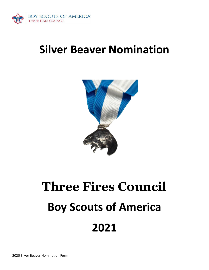

## **Silver Beaver Nomination**



# **Three Fires Council Boy Scouts of America 2021**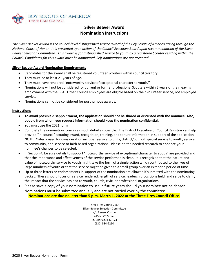

### **Silver Beaver Award Nomination Instructions**

*The Silver Beaver Award is the council-level distinguished service award of the Boy Scouts of America acting through the National Court of Honor. It is presented upon action of the Council Executive Board upon recommendation of the Silver Beaver Selection Committee. This award is for distinguished service to youth by a registered Scouter residing within the Council. Candidates for this award must be nominated. Self-nominations are not accepted.*

#### **Silver Beaver Award Nomination Requirements**

- Candidates for the award shall be registered volunteer Scouters within council territory.
- They must be at least 21 years of age.
- They must have rendered "noteworthy service of exceptional character to youth**."**
- Nominations will not be considered for current or former professional Scouters within 5 years of their leaving employment with the BSA. Other Council employees are eligible based on their volunteer service, not employed service.
- Nominations cannot be considered for posthumous awards.

#### **Instructions**

- **To avoid possible disappointment, the application should not be shared or discussed with the nominee. Also, people from whom you request information should keep the nomination confidential.**
- You must use the 2021 form
- Complete the nomination form in as much detail as possible. The District Executive or Council Registrar can help provide "in-council" scouting award, recognition, training, and tenure information in support of the application. NOTE: Criteria used for consideration include: service to units, district/council, special service to youth, service to community, and service to faith based organizations. Please do the needed research to enhance your nominee's chances to be selected.
- In Section 4, be sure details to support "noteworthy service of exceptional character to youth" are provided and that the importance and effectiveness of the service performed is clear. It is recognized that the nature and value of noteworthy service to youth might take the form of a single action which contributed to the lives of large numbers of youth or that the service might be given to a small group over an extended period of time.
- Up to three letters or endorsements in support of the nomination are allowed if submitted with the nominating packet. These should focus on service rendered, length of service, leadership positions held, and serve to clarify the impact that the service has had to youth, church, civic, or professional organizations.
- Please save a copy of your nomination to use in future years should your nominee not be chosen. Nominations must be submitted annually and are not carried over by the committee.

**Nominations are due no later than 5 p.m. March 1, 2022 at the Three Fires Council Office.**

Three Fires Council, BSA Silver Beaver Selection Committee c/o Renee' Cosme 415 N. 2nd Street St. Charles, IL 60174 (630) 584-9250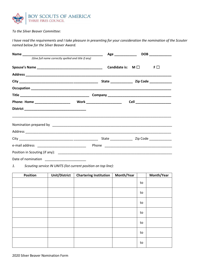

*To the Silver Beaver Committee:*

*I have read the requirements and I take pleasure in presenting for your consideration the nomination of the Scouter named below for the Silver Beaver Award.*

|                                                     |  | DOB<br>Age ______________    |  |
|-----------------------------------------------------|--|------------------------------|--|
| (Give full name correctly spelled and title if any) |  |                              |  |
|                                                     |  | Candidate is: $M \Box$<br>F□ |  |
|                                                     |  |                              |  |
|                                                     |  |                              |  |
|                                                     |  |                              |  |
|                                                     |  |                              |  |
|                                                     |  | Cell _______________________ |  |
|                                                     |  |                              |  |
|                                                     |  |                              |  |
|                                                     |  |                              |  |
|                                                     |  |                              |  |
|                                                     |  |                              |  |
|                                                     |  |                              |  |
| Date of nomination _________________________        |  |                              |  |

*1. Scouting service IN UNITS (list current position on top line):*

| <b>Position</b> | <b>Unit/District</b> | <b>Chartering Institution</b> | Month/Year |    | Month/Year |
|-----------------|----------------------|-------------------------------|------------|----|------------|
|                 |                      |                               |            | to |            |
|                 |                      |                               |            | to |            |
|                 |                      |                               |            | to |            |
|                 |                      |                               |            | to |            |
|                 |                      |                               |            | to |            |
|                 |                      |                               |            | to |            |
|                 |                      |                               |            | to |            |